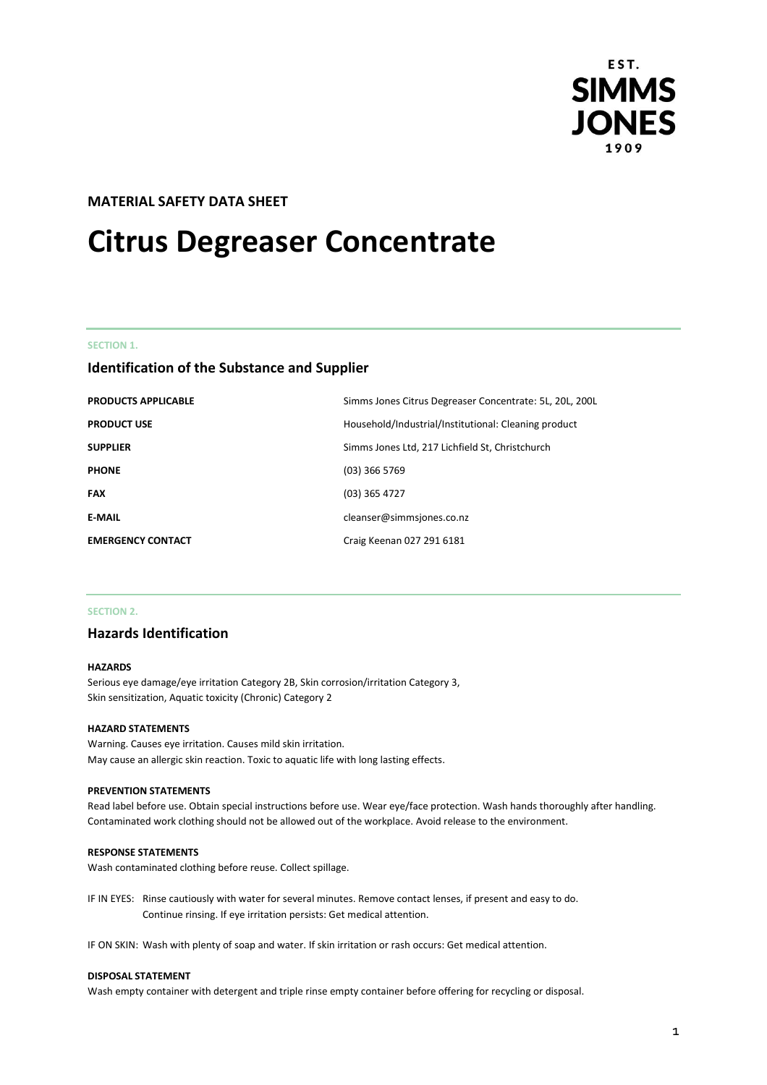

# **MATERIAL SAFETY DATA SHEET**

# **Citrus Degreaser Concentrate**

#### **SECTION 1.**

# **Identification of the Substance and Supplier**

| <b>PRODUCTS APPLICABLE</b> | Simms Jones Citrus Degreaser Concentrate: 5L, 20L, 200L |
|----------------------------|---------------------------------------------------------|
| <b>PRODUCT USE</b>         | Household/Industrial/Institutional: Cleaning product    |
| <b>SUPPLIER</b>            | Simms Jones Ltd, 217 Lichfield St, Christchurch         |
| <b>PHONE</b>               | $(03)$ 366 5769                                         |
| <b>FAX</b>                 | (03) 365 4727                                           |
| <b>E-MAIL</b>              | cleanser@simmsjones.co.nz                               |
| <b>EMERGENCY CONTACT</b>   | Craig Keenan 027 291 6181                               |

## **SECTION 2.**

# **Hazards Identification**

### **HAZARDS**

Serious eye damage/eye irritation Category 2B, Skin corrosion/irritation Category 3, Skin sensitization, Aquatic toxicity (Chronic) Category 2

#### **HAZARD STATEMENTS**

Warning. Causes eye irritation. Causes mild skin irritation. May cause an allergic skin reaction. Toxic to aquatic life with long lasting effects.

## **PREVENTION STATEMENTS**

Read label before use. Obtain special instructions before use. Wear eye/face protection. Wash hands thoroughly after handling. Contaminated work clothing should not be allowed out of the workplace. Avoid release to the environment.

#### **RESPONSE STATEMENTS**

Wash contaminated clothing before reuse. Collect spillage.

IF IN EYES: Rinse cautiously with water for several minutes. Remove contact lenses, if present and easy to do. Continue rinsing. If eye irritation persists: Get medical attention.

IF ON SKIN: Wash with plenty of soap and water. If skin irritation or rash occurs: Get medical attention.

#### **DISPOSAL STATEMENT**

Wash empty container with detergent and triple rinse empty container before offering for recycling or disposal.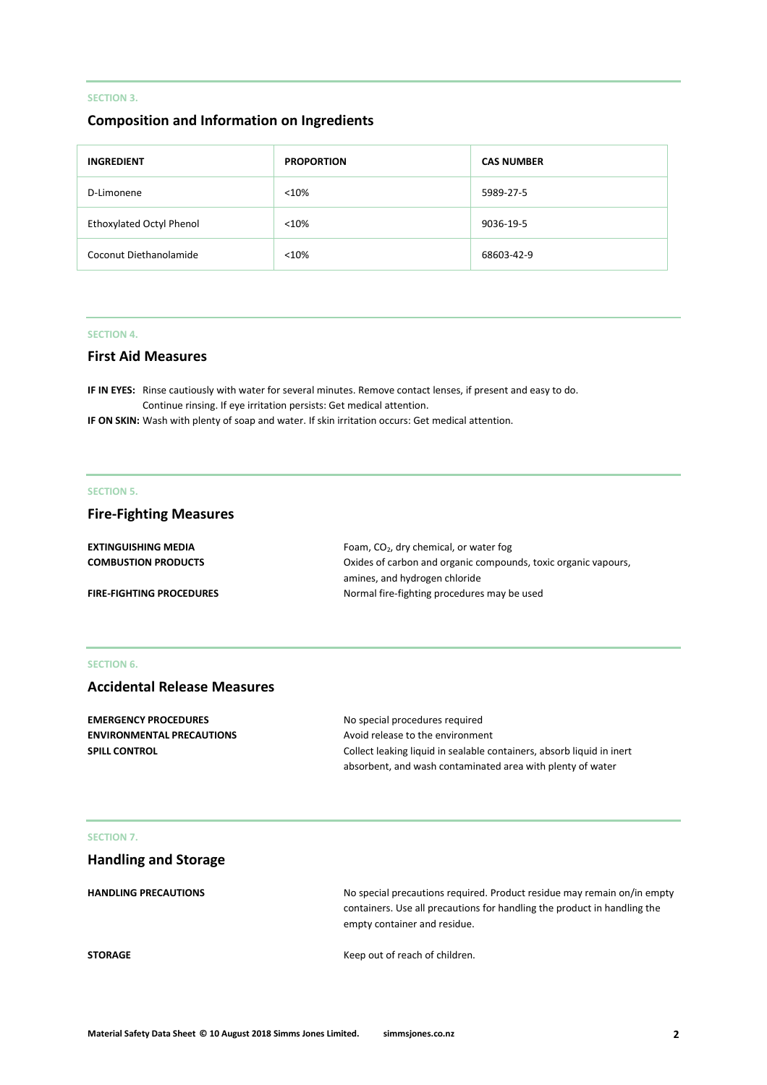# **SECTION 3.**

# **Composition and Information on Ingredients**

| <b>INGREDIENT</b>        | <b>PROPORTION</b> | <b>CAS NUMBER</b> |
|--------------------------|-------------------|-------------------|
| D-Limonene               | < 10%             | 5989-27-5         |
| Ethoxylated Octyl Phenol | < 10%             | 9036-19-5         |
| Coconut Diethanolamide   | < 10%             | 68603-42-9        |

## **SECTION 4.**

# **First Aid Measures**

**IF IN EYES:** Rinse cautiously with water for several minutes. Remove contact lenses, if present and easy to do. Continue rinsing. If eye irritation persists: Get medical attention.

**IF ON SKIN:** Wash with plenty of soap and water. If skin irritation occurs: Get medical attention.

# **SECTION 5.**

# **Fire-Fighting Measures**

| <b>EXTINGUISHING MEDIA</b>      | Foam, $CO2$ , dry chemical, or water fog                       |
|---------------------------------|----------------------------------------------------------------|
| <b>COMBUSTION PRODUCTS</b>      | Oxides of carbon and organic compounds, toxic organic vapours, |
|                                 | amines, and hydrogen chloride                                  |
| <b>FIRE-FIGHTING PROCEDURES</b> | Normal fire-fighting procedures may be used                    |

## **SECTION 6.**

# **Accidental Release Measures**

| <b>EMERGENCY PROCEDURES</b>      | No special procedures required                                        |
|----------------------------------|-----------------------------------------------------------------------|
| <b>ENVIRONMENTAL PRECAUTIONS</b> | Avoid release to the environment                                      |
| <b>SPILL CONTROL</b>             | Collect leaking liquid in sealable containers, absorb liquid in inert |
|                                  | absorbent, and wash contaminated area with plenty of water            |

# **SECTION 7.**

| <b>Handling and Storage</b> |                                                                                                                                                                                     |
|-----------------------------|-------------------------------------------------------------------------------------------------------------------------------------------------------------------------------------|
| <b>HANDLING PRECAUTIONS</b> | No special precautions required. Product residue may remain on/in empty<br>containers. Use all precautions for handling the product in handling the<br>empty container and residue. |
| <b>STORAGE</b>              | Keep out of reach of children.                                                                                                                                                      |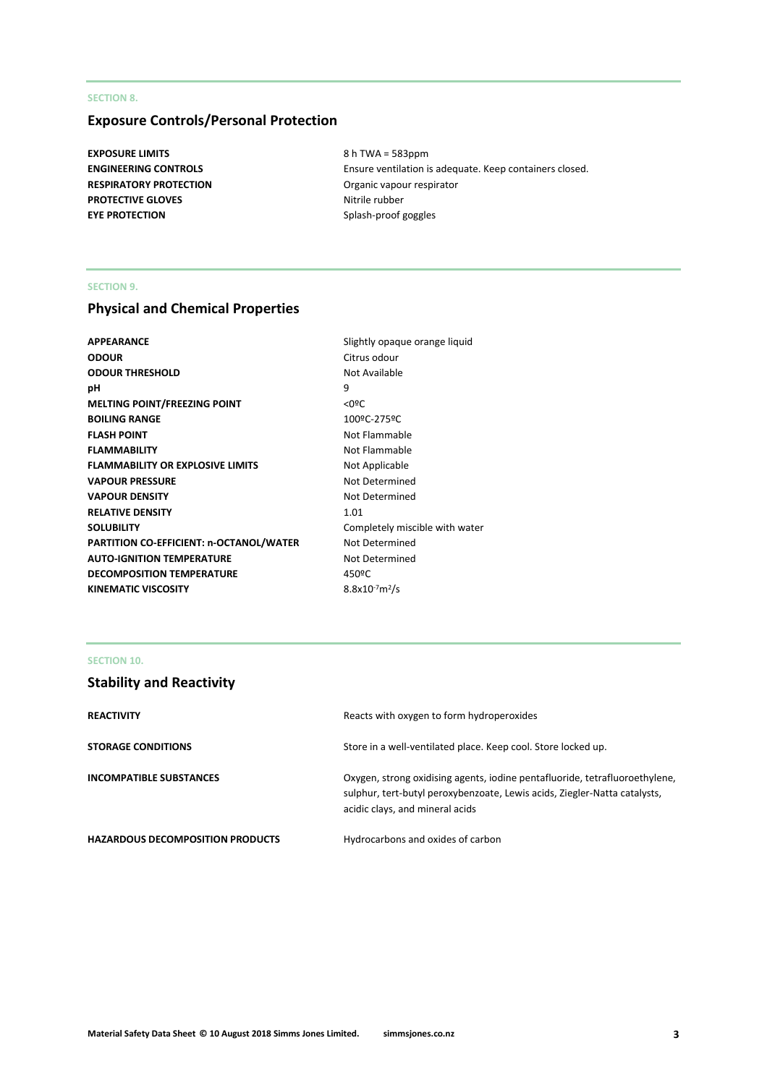# **SECTION 8.**

# **Exposure Controls/Personal Protection**

**EXPOSURE LIMITS** 8 h TWA = 583ppm **RESPIRATORY PROTECTION CONSIDERING OF A CONSIDERATION Organic vapour respirator PROTECTIVE GLOVES** Nitrile rubber **EYE PROTECTION** Splash-proof goggles

**ENGINEERING CONTROLS** Ensure ventilation is adequate. Keep containers closed.

## **SECTION 9.**

# **Physical and Chemical Properties**

| <b>APPEARANCE</b>                       | Slightly opaque orange liquid  |
|-----------------------------------------|--------------------------------|
| <b>ODOUR</b>                            | Citrus odour                   |
| <b>ODOUR THRESHOLD</b>                  | Not Available                  |
| рH                                      | 9                              |
| <b>MELTING POINT/FREEZING POINT</b>     | $<$ 0ºC                        |
| <b>BOILING RANGE</b>                    | 100ºC-275ºC                    |
| <b>FLASH POINT</b>                      | Not Flammable                  |
| <b>FLAMMABILITY</b>                     | Not Flammable                  |
| <b>FLAMMABILITY OR EXPLOSIVE LIMITS</b> | Not Applicable                 |
| <b>VAPOUR PRESSURE</b>                  | Not Determined                 |
| <b>VAPOUR DENSITY</b>                   | Not Determined                 |
| <b>RELATIVE DENSITY</b>                 | 1.01                           |
| <b>SOLUBILITY</b>                       | Completely miscible with water |
| PARTITION CO-EFFICIENT: n-OCTANOL/WATER | Not Determined                 |
| <b>AUTO-IGNITION TEMPERATURE</b>        | Not Determined                 |
| <b>DECOMPOSITION TEMPERATURE</b>        | 450°C                          |
| <b>KINEMATIC VISCOSITY</b>              | $8.8x10^{-7}m^2/s$             |

# **SECTION 10.**

# **Stability and Reactivity**

| <b>REACTIVITY</b>                       | Reacts with oxygen to form hydroperoxides                                                                                                                                                   |
|-----------------------------------------|---------------------------------------------------------------------------------------------------------------------------------------------------------------------------------------------|
| <b>STORAGE CONDITIONS</b>               | Store in a well-ventilated place. Keep cool. Store locked up.                                                                                                                               |
| <b>INCOMPATIBLE SUBSTANCES</b>          | Oxygen, strong oxidising agents, iodine pentafluoride, tetrafluoroethylene,<br>sulphur, tert-butyl peroxybenzoate, Lewis acids, Ziegler-Natta catalysts,<br>acidic clays, and mineral acids |
| <b>HAZARDOUS DECOMPOSITION PRODUCTS</b> | Hydrocarbons and oxides of carbon                                                                                                                                                           |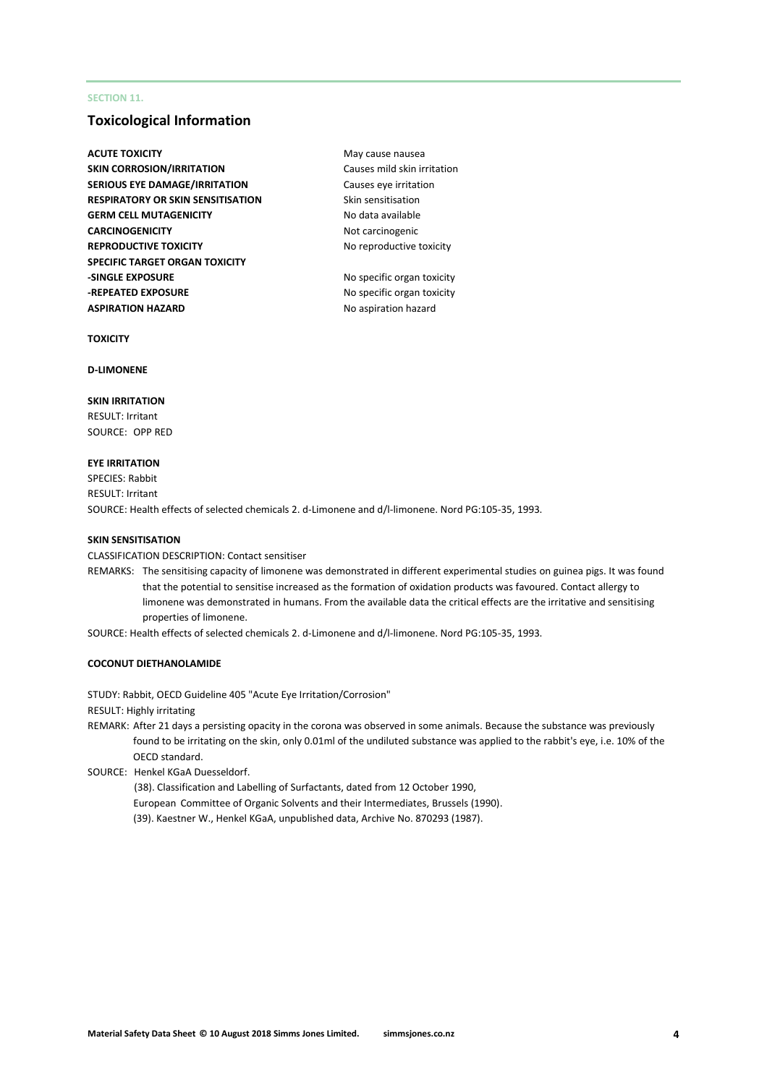# **SECTION 11.**

# **Toxicological Information**

- **ACUTE TOXICITY** May cause nausea **SKIN CORROSION/IRRITATION** Causes mild skin irritation **SERIOUS EYE DAMAGE/IRRITATION** Causes eye irritation **RESPIRATORY OR SKIN SENSITISATION** Skin sensitisation **GERM CELL MUTAGENICITY** No data available **CARCINOGENICITY** Not carcinogenic **REPRODUCTIVE TOXICITY** No reproductive toxicity **SPECIFIC TARGET ORGAN TOXICITY -SINGLE EXPOSURE** No specific organ toxicity **-REPEATED EXPOSURE** No specific organ toxicity **ASPIRATION HAZARD** No aspiration hazard
	-

#### **TOXICITY**

#### **D-LIMONENE**

#### **SKIN IRRITATION**

RESULT: Irritant SOURCE: OPP RED

#### **EYE IRRITATION**

SPECIES: Rabbit RESULT: Irritant SOURCE: Health effects of selected chemicals 2. d-Limonene and d/l-limonene. Nord PG:105-35, 1993.

#### **SKIN SENSITISATION**

CLASSIFICATION DESCRIPTION: Contact sensitiser

REMARKS: The sensitising capacity of limonene was demonstrated in different experimental studies on guinea pigs. It was found that the potential to sensitise increased as the formation of oxidation products was favoured. Contact allergy to limonene was demonstrated in humans. From the available data the critical effects are the irritative and sensitising properties of limonene.

SOURCE: Health effects of selected chemicals 2. d-Limonene and d/l-limonene. Nord PG:105-35, 1993.

## **COCONUT DIETHANOLAMIDE**

STUDY: Rabbit, OECD Guideline 405 "Acute Eye Irritation/Corrosion"

RESULT: Highly irritating

REMARK: After 21 days a persisting opacity in the corona was observed in some animals. Because the substance was previously found to be irritating on the skin, only 0.01ml of the undiluted substance was applied to the rabbit's eye, i.e. 10% of the OECD standard.

SOURCE: Henkel KGaA Duesseldorf.

(38). Classification and Labelling of Surfactants, dated from 12 October 1990, European Committee of Organic Solvents and their Intermediates, Brussels (1990).

(39). Kaestner W., Henkel KGaA, unpublished data, Archive No. 870293 (1987).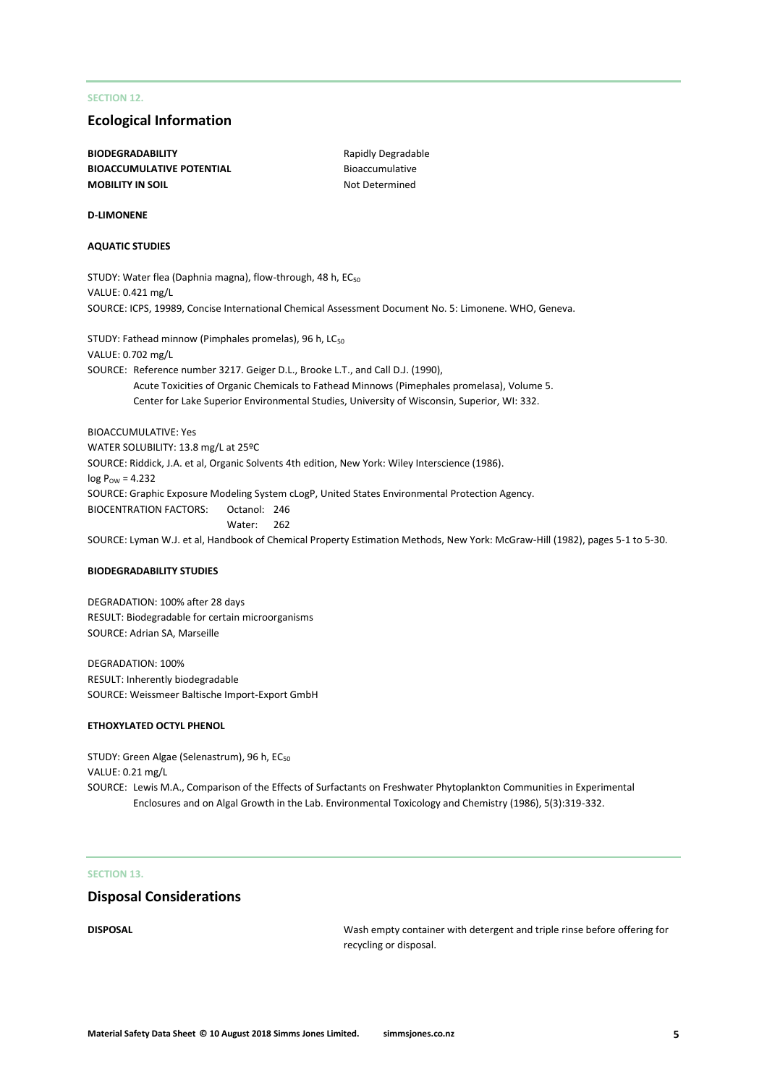## **SECTION 12.**

# **Ecological Information**

**BIODEGRADABILITY** Rapidly Degradable **BIOACCUMULATIVE POTENTIAL** Bioaccumulative **MOBILITY IN SOIL** MOBILITY IN SOIL

#### **D-LIMONENE**

## **AQUATIC STUDIES**

STUDY: Water flea (Daphnia magna), flow-through, 48 h, EC<sub>50</sub> VALUE: 0.421 mg/L SOURCE: ICPS, 19989, Concise International Chemical Assessment Document No. 5: Limonene. WHO, Geneva.

STUDY: Fathead minnow (Pimphales promelas), 96 h, LC<sub>50</sub> VALUE: 0.702 mg/L SOURCE: Reference number 3217. Geiger D.L., Brooke L.T., and Call D.J. (1990), Acute Toxicities of Organic Chemicals to Fathead Minnows (Pimephales promelasa), Volume 5. Center for Lake Superior Environmental Studies, University of Wisconsin, Superior, WI: 332.

BIOACCUMULATIVE: Yes WATER SOLUBILITY: 13.8 mg/L at 25ºC SOURCE: Riddick, J.A. et al, Organic Solvents 4th edition, New York: Wiley Interscience (1986).  $log P_{OW} = 4.232$ SOURCE: Graphic Exposure Modeling System cLogP, United States Environmental Protection Agency. BIOCENTRATION FACTORS: Octanol: 246 Water: 262 SOURCE: Lyman W.J. et al, Handbook of Chemical Property Estimation Methods, New York: McGraw-Hill (1982), pages 5-1 to 5-30.

#### **BIODEGRADABILITY STUDIES**

DEGRADATION: 100% after 28 days RESULT: Biodegradable for certain microorganisms SOURCE: Adrian SA, Marseille

DEGRADATION: 100% RESULT: Inherently biodegradable SOURCE: Weissmeer Baltische Import-Export GmbH

#### **ETHOXYLATED OCTYL PHENOL**

STUDY: Green Algae (Selenastrum), 96 h, EC<sub>50</sub> VALUE: 0.21 mg/L SOURCE: Lewis M.A., Comparison of the Effects of Surfactants on Freshwater Phytoplankton Communities in Experimental Enclosures and on Algal Growth in the Lab. Environmental Toxicology and Chemistry (1986), 5(3):319-332.

#### **SECTION 13.**

## **Disposal Considerations**

**DISPOSAL** Wash empty container with detergent and triple rinse before offering for recycling or disposal.